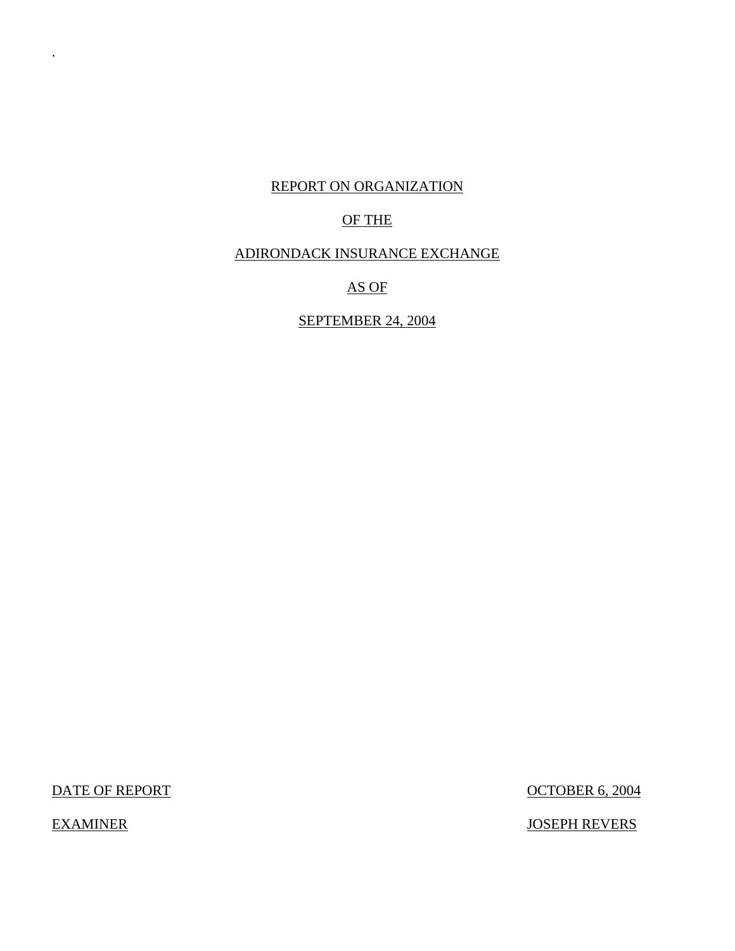## REPORT ON ORGANIZATION

# OF THE

# ADIRONDACK INSURANCE EXCHANGE

# AS OF

# SEPTEMBER 24, 2004

DATE OF REPORT OCTOBER 6, 2004

.

EXAMINER JOSEPH REVERS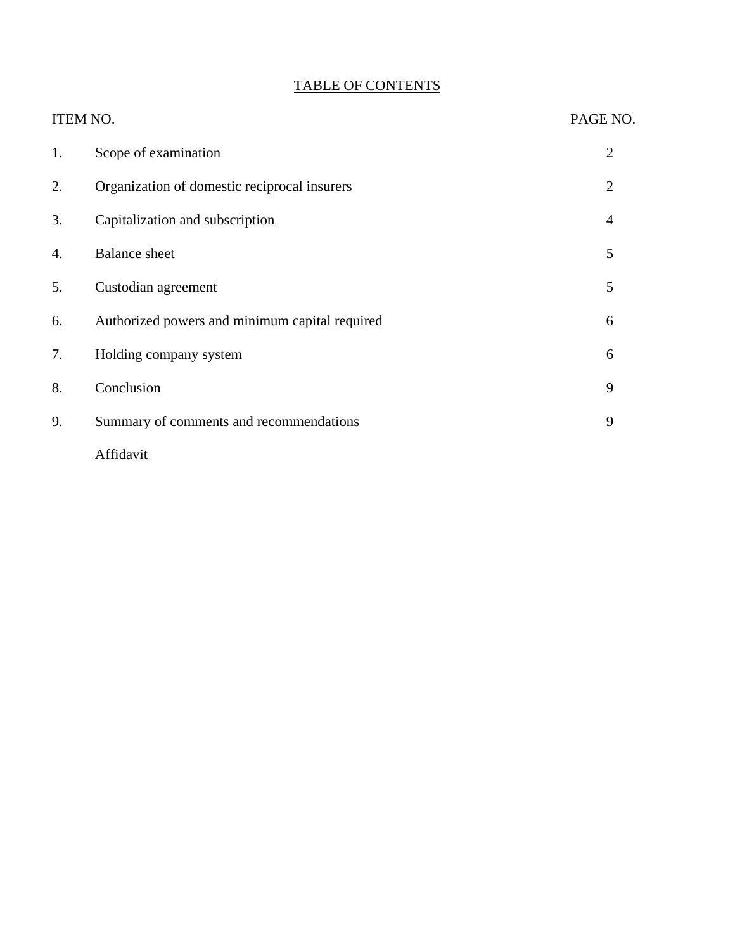# TABLE OF CONTENTS

| <b>ITEM NO.</b> |                                                | PAGE NO.       |
|-----------------|------------------------------------------------|----------------|
| 1.              | Scope of examination                           | $\overline{2}$ |
| 2.              | Organization of domestic reciprocal insurers   | $\overline{2}$ |
| 3.              | Capitalization and subscription                | $\overline{4}$ |
| 4.              | <b>Balance</b> sheet                           | 5              |
| 5.              | Custodian agreement                            | 5              |
| 6.              | Authorized powers and minimum capital required | 6              |
| 7.              | Holding company system                         | 6              |
| 8.              | Conclusion                                     | 9              |
| 9.              | Summary of comments and recommendations        | 9              |
|                 | Affidavit                                      |                |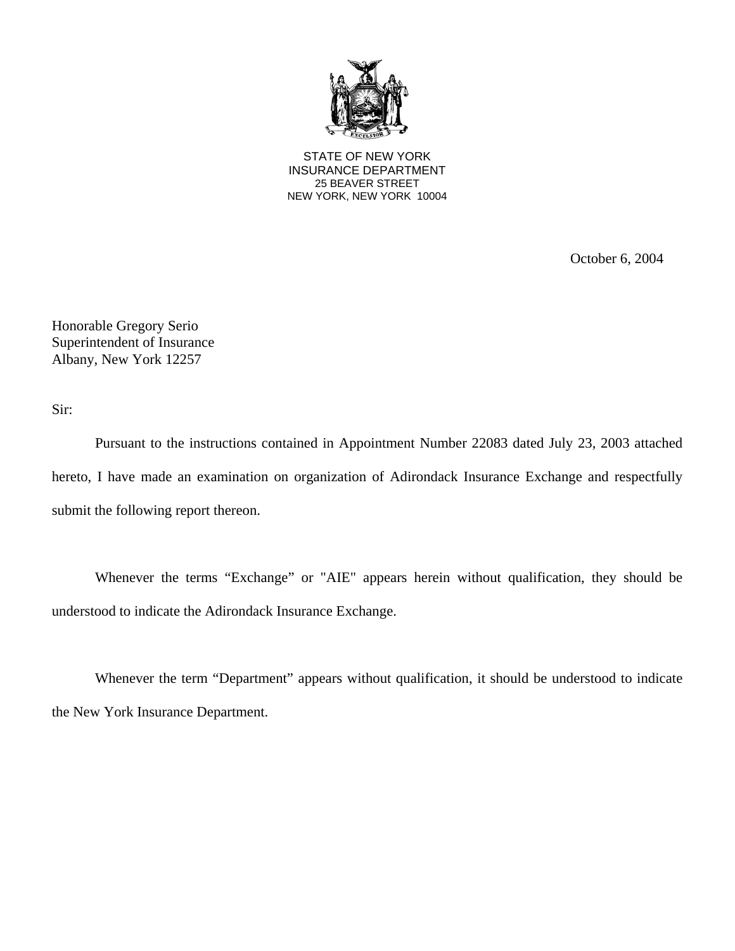

25 BEAVER STREET STATE OF NEW YORK INSURANCE DEPARTMENT NEW YORK, NEW YORK 10004

October 6, 2004

Honorable Gregory Serio Superintendent of Insurance Albany, New York 12257

Sir:

Pursuant to the instructions contained in Appointment Number 22083 dated July 23, 2003 attached hereto, I have made an examination on organization of Adirondack Insurance Exchange and respectfully submit the following report thereon.

Whenever the terms "Exchange" or "AIE" appears herein without qualification, they should be understood to indicate the Adirondack Insurance Exchange.

Whenever the term "Department" appears without qualification, it should be understood to indicate the New York Insurance Department.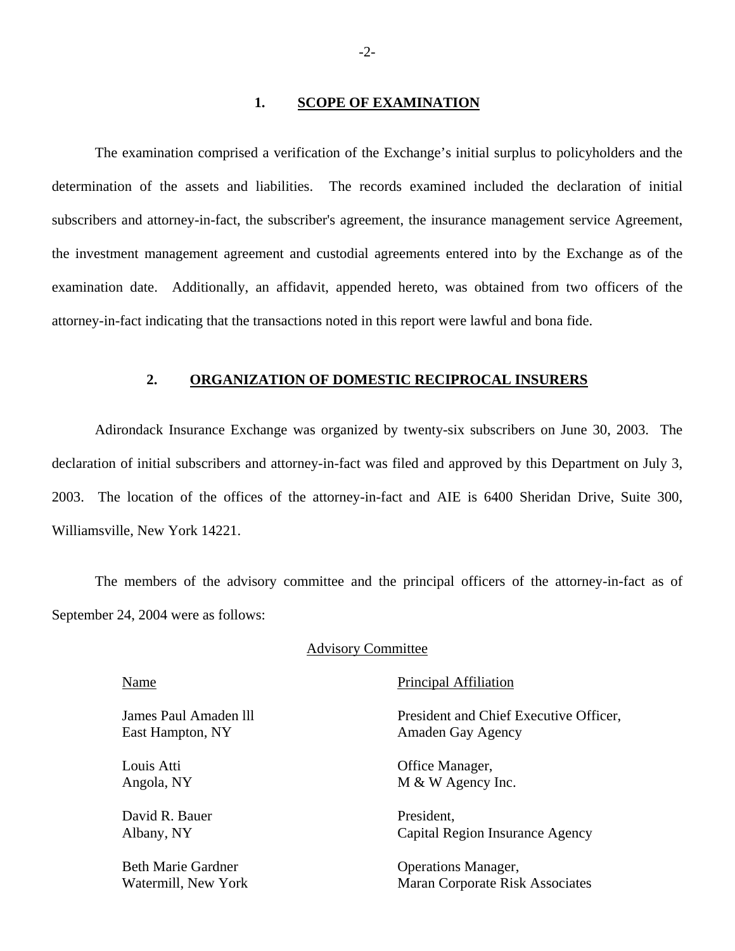#### 1. **SCOPE OF EXAMINATION**

The examination comprised a verification of the Exchange's initial surplus to policyholders and the determination of the assets and liabilities. The records examined included the declaration of initial subscribers and attorney-in-fact, the subscriber's agreement, the insurance management service Agreement, the investment management agreement and custodial agreements entered into by the Exchange as of the examination date. Additionally, an affidavit, appended hereto, was obtained from two officers of the attorney-in-fact indicating that the transactions noted in this report were lawful and bona fide.

#### **2. ORGANIZATION OF DOMESTIC RECIPROCAL INSURERS**

Adirondack Insurance Exchange was organized by twenty-six subscribers on June 30, 2003. The declaration of initial subscribers and attorney-in-fact was filed and approved by this Department on July 3, 2003. The location of the offices of the attorney-in-fact and AIE is 6400 Sheridan Drive, Suite 300, Williamsville, New York 14221.

The members of the advisory committee and the principal officers of the attorney-in-fact as of September 24, 2004 were as follows:

#### Advisory Committee

East Hampton, NY Amaden Gay Agency

David R. Bauer President,

Name Principal Affiliation

James Paul Amaden lll President and Chief Executive Officer,

Louis Atti **Community** Office Manager, Angola, NY M & W Agency Inc.

Albany, NY Capital Region Insurance Agency

Beth Marie Gardner **Operations Manager**, Watermill, New York Maran Corporate Risk Associates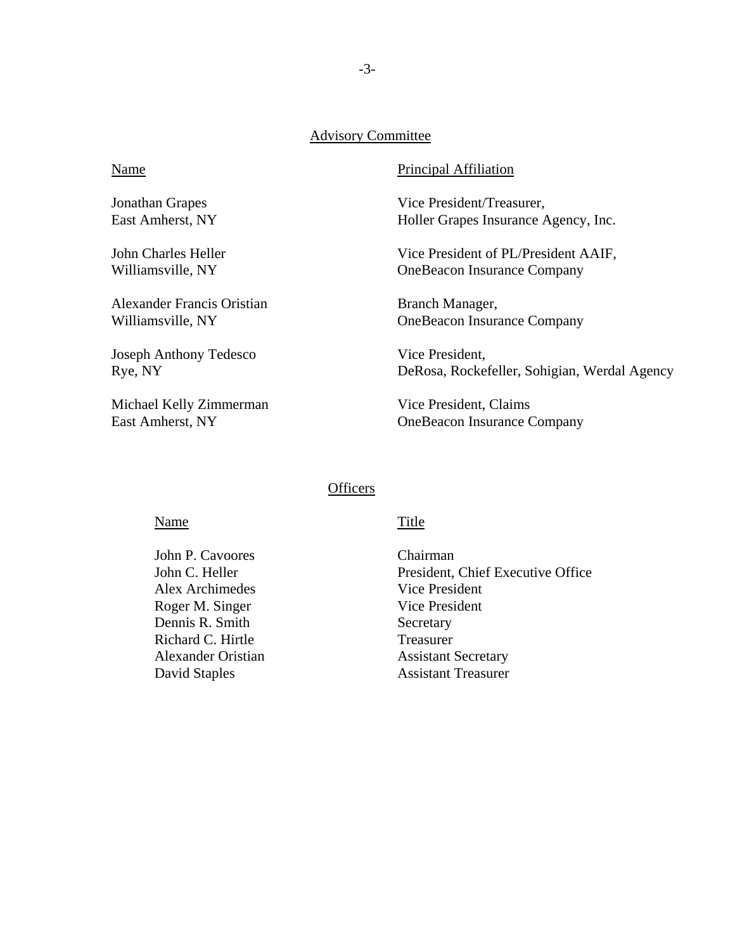### Advisory Committee

Alexander Francis Oristian Branch Manager,

Joseph Anthony Tedesco Vice President,

Michael Kelly Zimmerman Vice President, Claims

#### Name Principal Affiliation

Jonathan Grapes Vice President/Treasurer, East Amherst, NY Holler Grapes Insurance Agency, Inc.

John Charles Heller Vice President of PL/President AAIF, Williamsville, NY OneBeacon Insurance Company

Williamsville, NY OneBeacon Insurance Company

Rye, NY DeRosa, Rockefeller, Sohigian, Werdal Agency

East Amherst, NY OneBeacon Insurance Company

#### **Officers**

#### Name Title

John P. Cavoores Chairman Alex Archimedes Vice President Roger M. Singer Vice President Dennis R. Smith Secretary Richard C. Hirtle Treasurer

John C. Heller President, Chief Executive Office Alexander Oristian Assistant Secretary David Staples **Assistant Treasurer**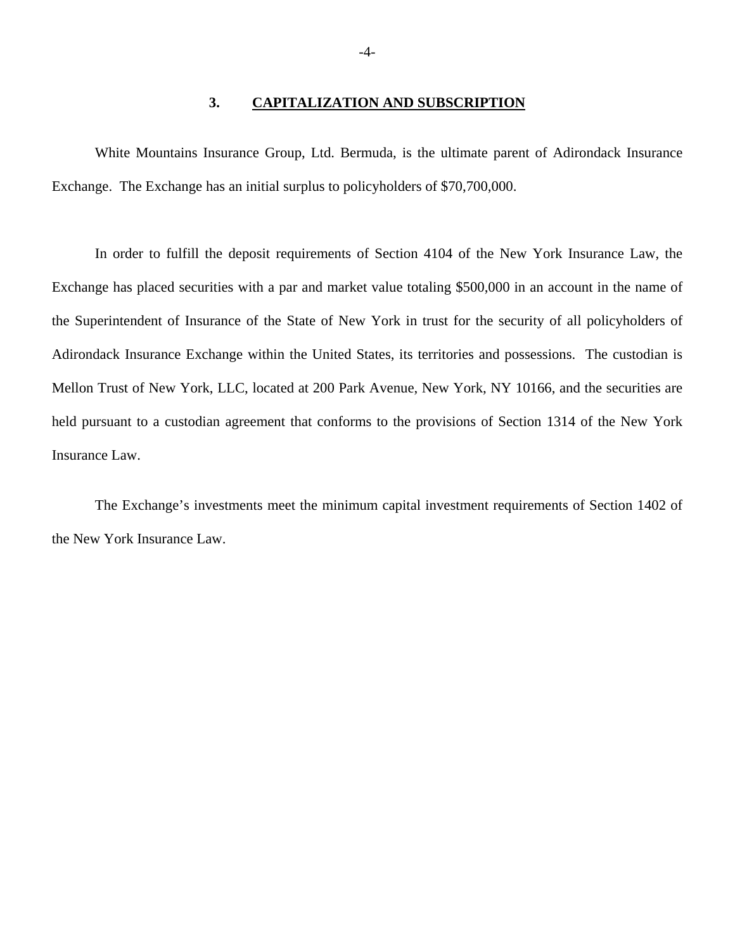#### **3. CAPITALIZATION AND SUBSCRIPTION**

White Mountains Insurance Group, Ltd. Bermuda, is the ultimate parent of Adirondack Insurance Exchange. The Exchange has an initial surplus to policyholders of \$70,700,000.

In order to fulfill the deposit requirements of Section 4104 of the New York Insurance Law, the Exchange has placed securities with a par and market value totaling \$500,000 in an account in the name of the Superintendent of Insurance of the State of New York in trust for the security of all policyholders of Adirondack Insurance Exchange within the United States, its territories and possessions. The custodian is Mellon Trust of New York, LLC, located at 200 Park Avenue, New York, NY 10166, and the securities are held pursuant to a custodian agreement that conforms to the provisions of Section 1314 of the New York Insurance Law.

The Exchange's investments meet the minimum capital investment requirements of Section 1402 of the New York Insurance Law.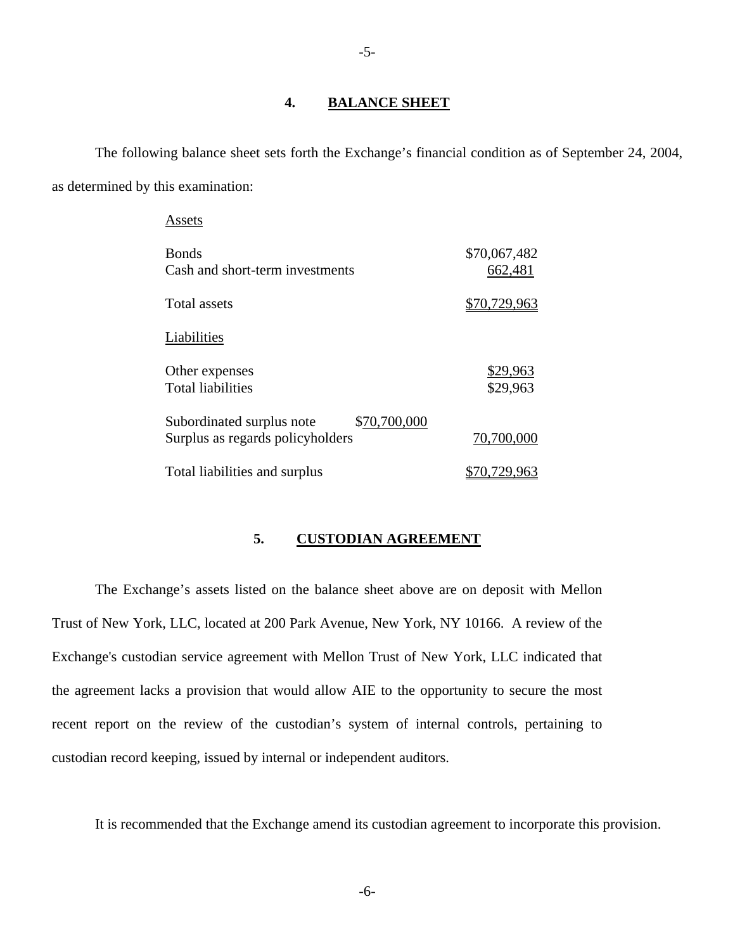#### **4. BALANCE SHEET**

-5-

The following balance sheet sets forth the Exchange's financial condition as of September 24, 2004, as determined by this examination:

| Assets                                                                        |                         |
|-------------------------------------------------------------------------------|-------------------------|
| <b>Bonds</b><br>Cash and short-term investments                               | \$70,067,482<br>662,481 |
| Total assets                                                                  | <u>\$70,729,963</u>     |
| Liabilities                                                                   |                         |
| Other expenses<br><b>Total liabilities</b>                                    | \$29,963<br>\$29,963    |
| \$70,700,000<br>Subordinated surplus note<br>Surplus as regards policyholders | 70,700,000              |
| Total liabilities and surplus                                                 | \$70,729,963            |

### **5. CUSTODIAN AGREEMENT**

The Exchange's assets listed on the balance sheet above are on deposit with Mellon Trust of New York, LLC, located at 200 Park Avenue, New York, NY 10166. A review of the Exchange's custodian service agreement with Mellon Trust of New York, LLC indicated that the agreement lacks a provision that would allow AIE to the opportunity to secure the most recent report on the review of the custodian's system of internal controls, pertaining to custodian record keeping, issued by internal or independent auditors.

It is recommended that the Exchange amend its custodian agreement to incorporate this provision.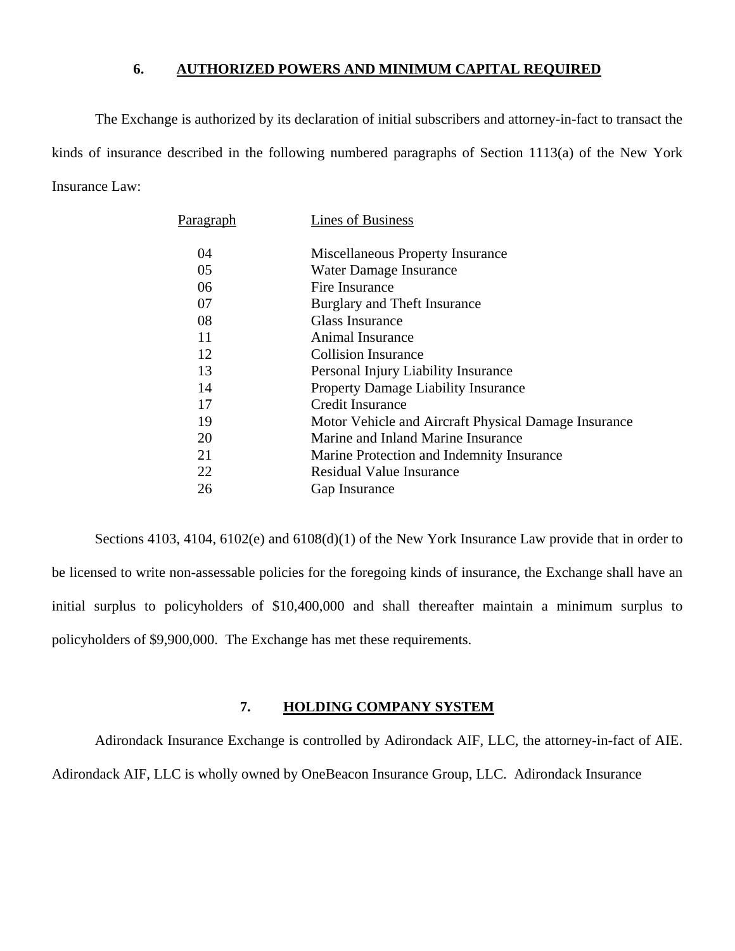### **6. AUTHORIZED POWERS AND MINIMUM CAPITAL REQUIRED**

The Exchange is authorized by its declaration of initial subscribers and attorney-in-fact to transact the kinds of insurance described in the following numbered paragraphs of Section 1113(a) of the New York Insurance Law:

| Paragraph | Lines of Business                                    |
|-----------|------------------------------------------------------|
| 04        | <b>Miscellaneous Property Insurance</b>              |
| 05        | Water Damage Insurance                               |
| 06        | Fire Insurance                                       |
| 07        | Burglary and Theft Insurance                         |
| 08        | Glass Insurance                                      |
| 11        | Animal Insurance                                     |
| 12        | Collision Insurance                                  |
| 13        | Personal Injury Liability Insurance                  |
| 14        | <b>Property Damage Liability Insurance</b>           |
| 17        | Credit Insurance                                     |
| 19        | Motor Vehicle and Aircraft Physical Damage Insurance |
| 20        | Marine and Inland Marine Insurance                   |
| 21        | Marine Protection and Indemnity Insurance            |
| 22        | Residual Value Insurance                             |
| 26        | Gap Insurance                                        |

Sections 4103, 4104, 6102(e) and 6108(d)(1) of the New York Insurance Law provide that in order to be licensed to write non-assessable policies for the foregoing kinds of insurance, the Exchange shall have an initial surplus to policyholders of \$10,400,000 and shall thereafter maintain a minimum surplus to policyholders of \$9,900,000. The Exchange has met these requirements.

## **7. HOLDING COMPANY SYSTEM**

Adirondack Insurance Exchange is controlled by Adirondack AIF, LLC, the attorney-in-fact of AIE. Adirondack AIF, LLC is wholly owned by OneBeacon Insurance Group, LLC. Adirondack Insurance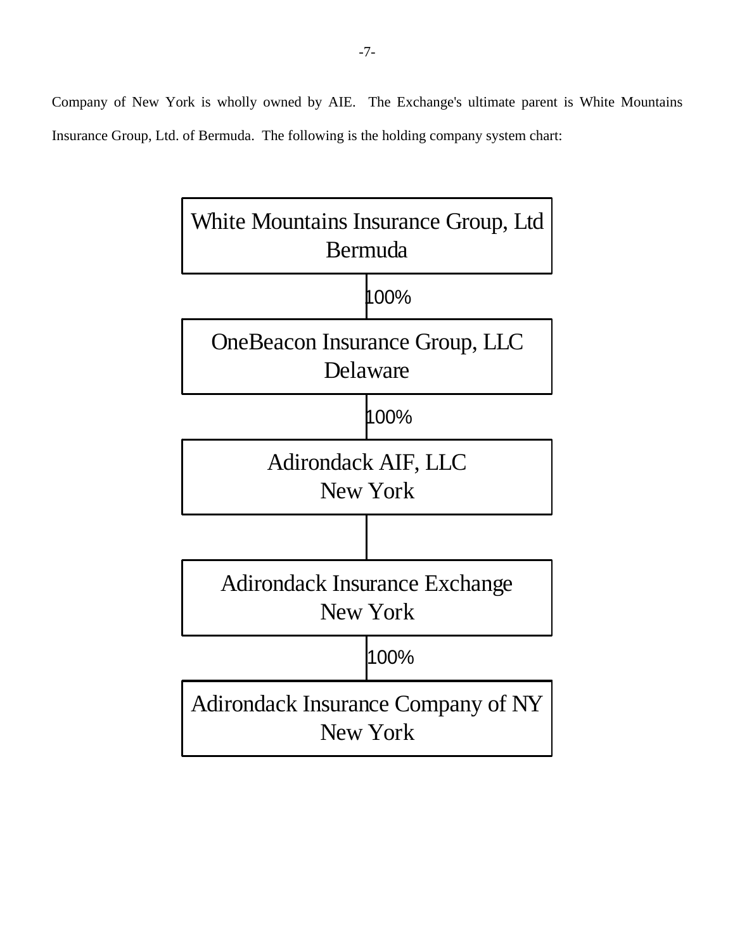Company of New York is wholly owned by AIE. The Exchange's ultimate parent is White Mountains Insurance Group, Ltd. of Bermuda. The following is the holding company system chart:

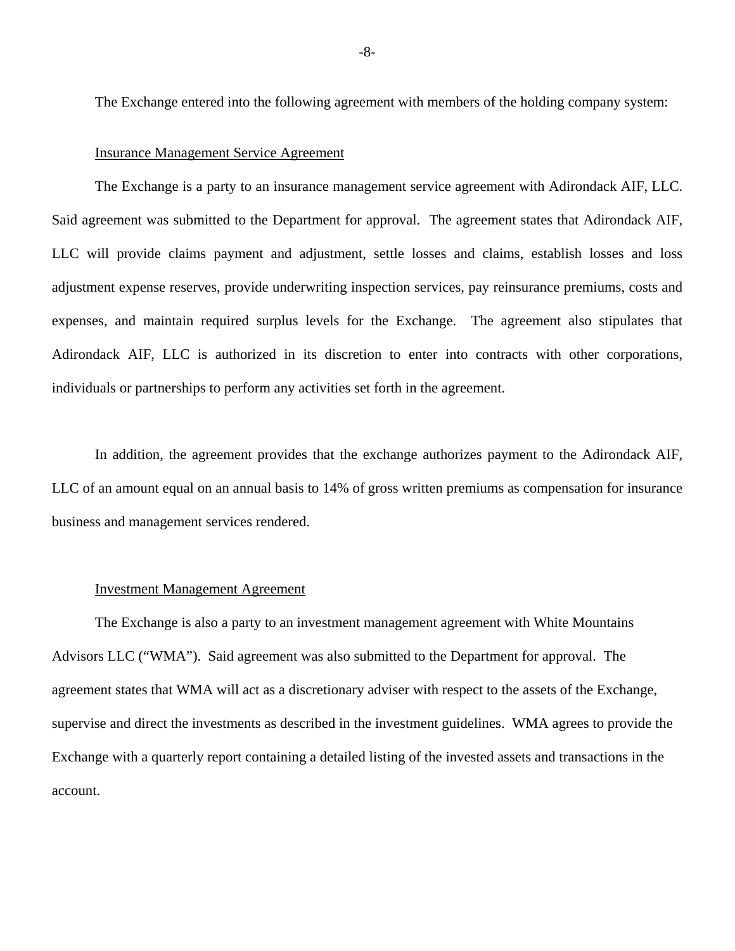The Exchange entered into the following agreement with members of the holding company system:

#### Insurance Management Service Agreement

The Exchange is a party to an insurance management service agreement with Adirondack AIF, LLC. Said agreement was submitted to the Department for approval. The agreement states that Adirondack AIF, LLC will provide claims payment and adjustment, settle losses and claims, establish losses and loss adjustment expense reserves, provide underwriting inspection services, pay reinsurance premiums, costs and expenses, and maintain required surplus levels for the Exchange. The agreement also stipulates that Adirondack AIF, LLC is authorized in its discretion to enter into contracts with other corporations, individuals or partnerships to perform any activities set forth in the agreement.

In addition, the agreement provides that the exchange authorizes payment to the Adirondack AIF, LLC of an amount equal on an annual basis to 14% of gross written premiums as compensation for insurance business and management services rendered.

#### Investment Management Agreement

The Exchange is also a party to an investment management agreement with White Mountains Advisors LLC ("WMA"). Said agreement was also submitted to the Department for approval. The agreement states that WMA will act as a discretionary adviser with respect to the assets of the Exchange, supervise and direct the investments as described in the investment guidelines. WMA agrees to provide the Exchange with a quarterly report containing a detailed listing of the invested assets and transactions in the account.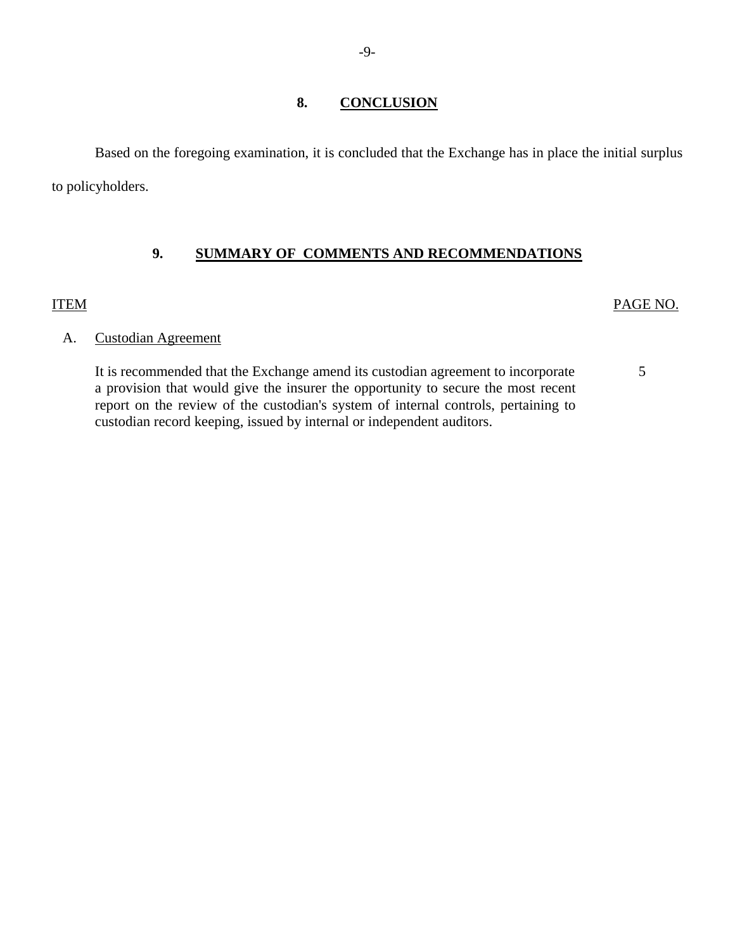## **8. CONCLUSION**

Based on the foregoing examination, it is concluded that the Exchange has in place the initial surplus to policyholders.

## **9. SUMMARY OF COMMENTS AND RECOMMENDATIONS**

## ITEM PAGE NO.

## A. Custodian Agreement

It is recommended that the Exchange amend its custodian agreement to incorporate 5 a provision that would give the insurer the opportunity to secure the most recent report on the review of the custodian's system of internal controls, pertaining to custodian record keeping, issued by internal or independent auditors.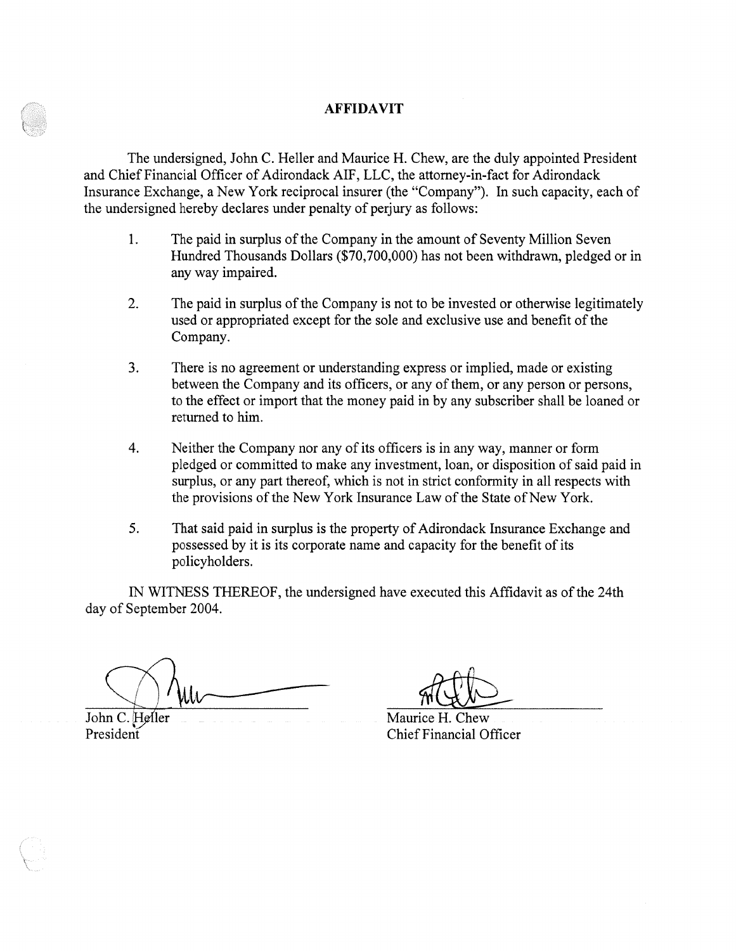### **AFFIDAVIT**

The undersigned, John C. Heller and Maurice H. Chew, are the duly appointed President and Chief Financial Officer of Adirondack AIF, LLC, the attorney-in-fact for Adirondack Insurance Exchange, a New York reciprocal insurer (the "Company"). In such capacity, each of the undersigned hereby declares under penalty of perjury as follows:

- 1. The paid in surplus of the Company in the amount of Seventy Million Seven Hundred Thousands Dollars (\$70,700,000) has not been withdrawn, pledged or in any way impaired.
- 2. The paid in surplus of the Company is not to be invested or otherwise legitimately used or appropriated except for the sole and exclusive use and benefit of the Company.
- 3. There is no agreement or understanding express or implied, made or existing between the Company and its officers, or any of them, or any person or persons, to the effect or import that the money paid in by any subscriber shall be loaned or returned to him.
- 4. Neither the Company nor any of its officers is in any way, manner or form pledged or committed to make any investment, loan, or disposition of said paid in surplus, or any part thereof, which is not in strict conformity in all respects with the provisions of the New York Insurance Law of the State of New York.
- 5. That said paid in surplus is the property of Adirondack Insurance Exchange and possessed by it is its corporate name and capacity for the benefit of its policyholders.

IN WITNESS THEREOF, the undersigned have executed this Affidavit as ofthe 24th day of September 2004.

policyholders.<br>
IN WITNESS THEREOF, the undersigned have executed this Affidavit a<br>
day of September 2004.<br>
John C. Hefler<br>
John C. Hefler<br>
President<br>
Chief Financial Officer

President **Chief Financial Officer**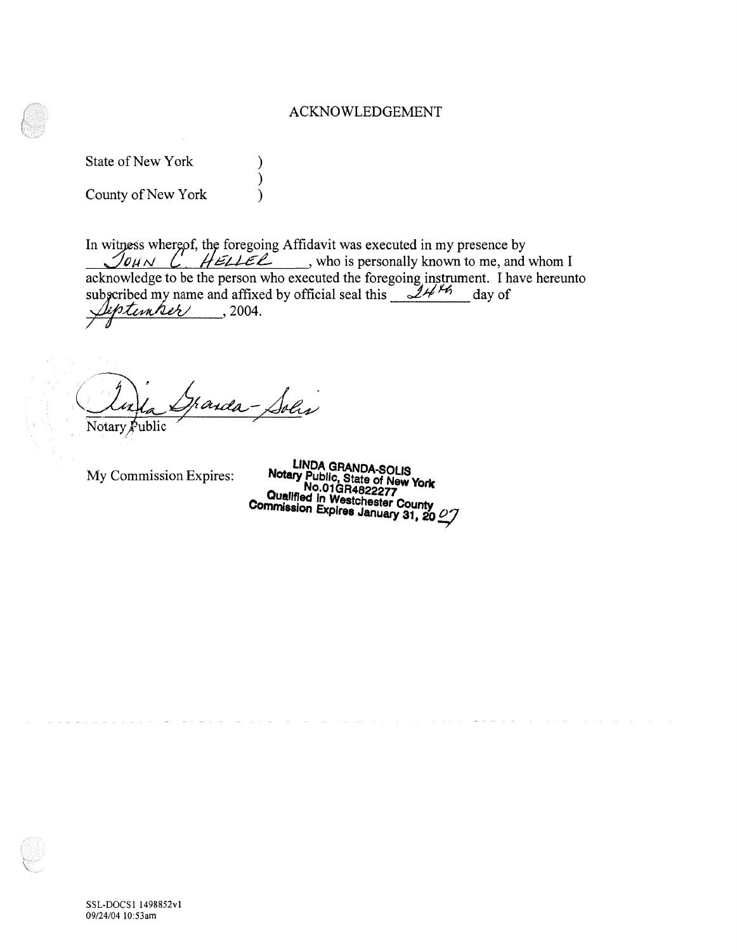### ACKNOWLEDGEMENT

State of New York (1) County of New York (1)

)

In witness whereof, the foregoing Affidavit was executed in my presence by  $J_{\ell M N}$  *C HELLEL*, who is personally known to me, and whom I acknowledge to be the person who executed the foregoing instrument. I have hereunto subscribed my name and affixed by official seal this  $\frac{144\%}{140}$  day of  $\textcolor{red}{\textit{b}}$ timber  $\qquad$  , 2004. /

handa-Solis Notary  $\cancel{P}$ ublic

My Commission Expires: **LINDA GRANDA-SOLIS Notary NPubllc, State of New York Constituted in Westchester County Commission Expires January 31, 20 <sup>27</sup>**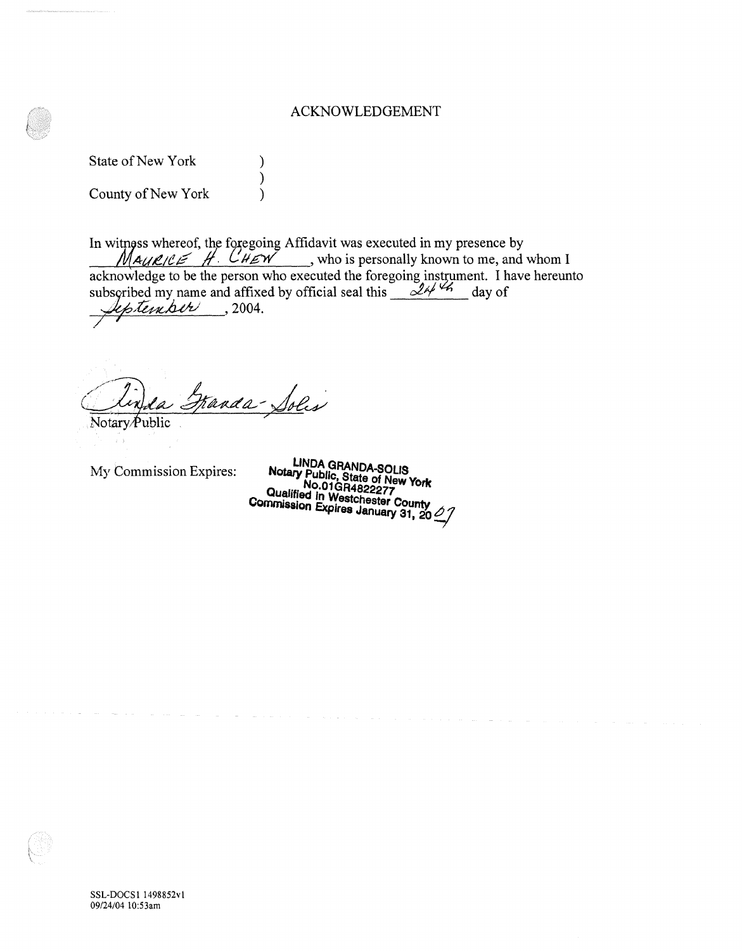#### ACKNOWLEDGEMENT

State of New York (1988)

County of New York (1997)

In witness whereof, the foregoing Affidavit was executed in my presence by  $M_{\text{AUE/CE}}$  . CHEV , who is personally known to me, and whom I acknowledge to be the person who executed the foregoing instrument. I have hereunto subscribed my name and affixed by official seal this  $\frac{d^{2} + 4}{dx^{2}}$  day of · *-~i:ulv* , 2004. /

)

Franda-Solis

Notary Public

My Commission Expires: **Notary Public, State of New York and New York Qualified in W. 19822277 Commission Expires January 31, 20 <sup>***Q***</sup> 7**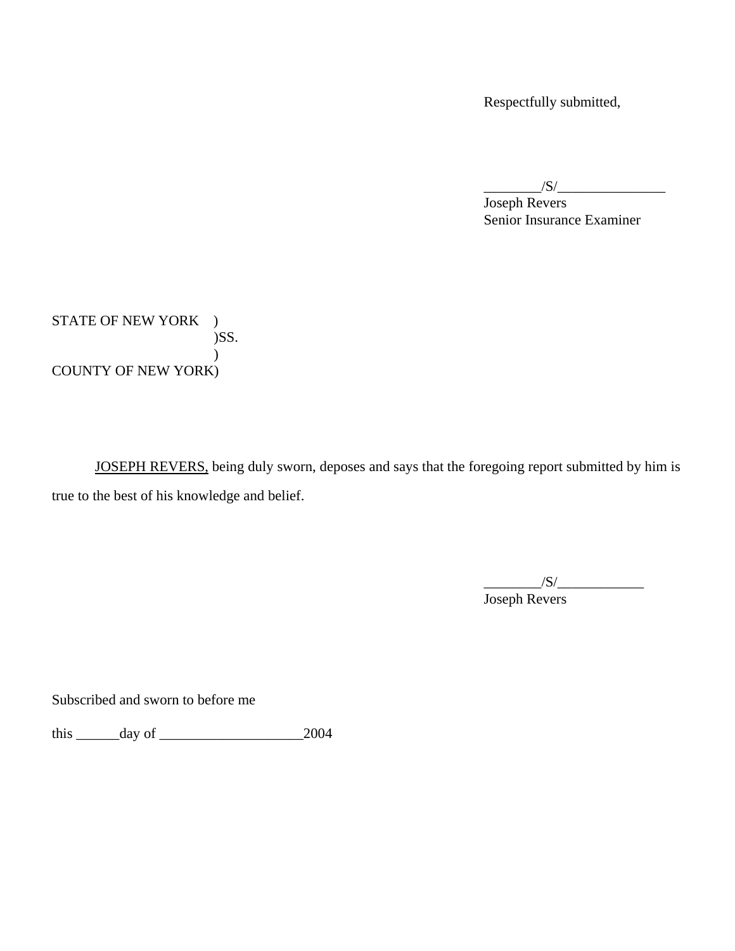Respectfully submitted,

 $/S/\sim$ 

 Joseph Revers Senior Insurance Examiner

STATE OF NEW YORK ) )SS.  $\mathcal{L}$ COUNTY OF NEW YORK)

 JOSEPH REVERS, being duly sworn, deposes and says that the foregoing report submitted by him is true to the best of his knowledge and belief.

 $/S/\sim$ Joseph Revers

Subscribed and sworn to before me

this \_\_\_\_\_\_day of \_\_\_\_\_\_\_\_\_\_\_\_\_\_\_\_\_\_\_\_2004